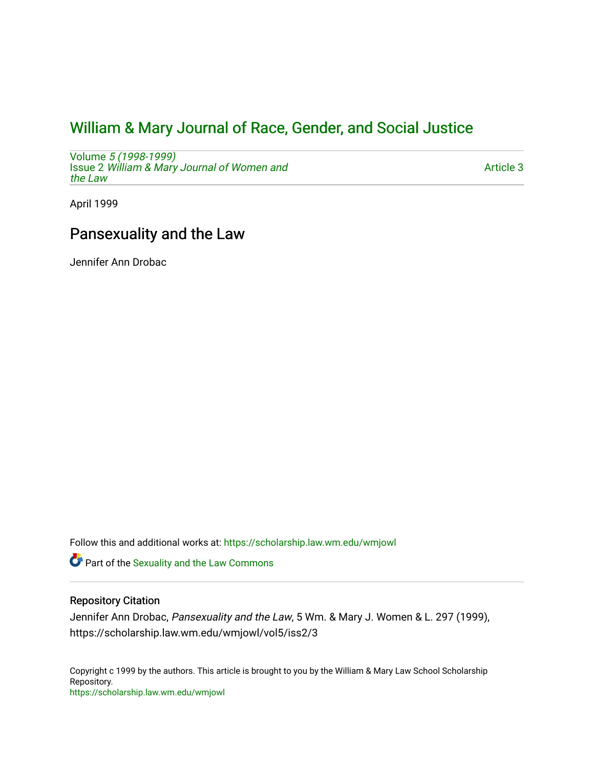# [William & Mary Journal of Race, Gender, and Social Justice](https://scholarship.law.wm.edu/wmjowl)

Volume [5 \(1998-1999\)](https://scholarship.law.wm.edu/wmjowl/vol5)  Issue 2 [William & Mary Journal of Women and](https://scholarship.law.wm.edu/wmjowl/vol5/iss2) [the Law](https://scholarship.law.wm.edu/wmjowl/vol5/iss2)

[Article 3](https://scholarship.law.wm.edu/wmjowl/vol5/iss2/3) 

April 1999

# Pansexuality and the Law

Jennifer Ann Drobac

Follow this and additional works at: [https://scholarship.law.wm.edu/wmjowl](https://scholarship.law.wm.edu/wmjowl?utm_source=scholarship.law.wm.edu%2Fwmjowl%2Fvol5%2Fiss2%2F3&utm_medium=PDF&utm_campaign=PDFCoverPages) 

Part of the [Sexuality and the Law Commons](http://network.bepress.com/hgg/discipline/877?utm_source=scholarship.law.wm.edu%2Fwmjowl%2Fvol5%2Fiss2%2F3&utm_medium=PDF&utm_campaign=PDFCoverPages)

### Repository Citation

Jennifer Ann Drobac, Pansexuality and the Law, 5 Wm. & Mary J. Women & L. 297 (1999), https://scholarship.law.wm.edu/wmjowl/vol5/iss2/3

Copyright c 1999 by the authors. This article is brought to you by the William & Mary Law School Scholarship Repository. <https://scholarship.law.wm.edu/wmjowl>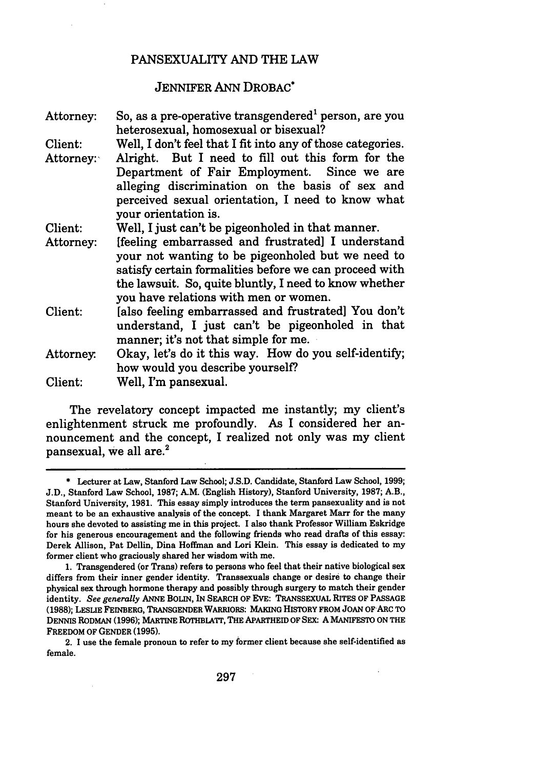#### PANSEXUALITY AND THE LAW

### JENNIFER ANN DROBAC\*

| Attorney: | So, as a pre-operative transgendered person, are you        |  |  |  |  |
|-----------|-------------------------------------------------------------|--|--|--|--|
|           | heterosexual, homosexual or bisexual?                       |  |  |  |  |
| Client:   | Well, I don't feel that I fit into any of those categories. |  |  |  |  |
| Attorney: | Alright. But I need to fill out this form for the           |  |  |  |  |
|           | Department of Fair Employment. Since we are                 |  |  |  |  |
|           | alleging discrimination on the basis of sex and             |  |  |  |  |
|           | perceived sexual orientation, I need to know what           |  |  |  |  |
|           | your orientation is.                                        |  |  |  |  |
| Client:   | Well, I just can't be pigeonholed in that manner.           |  |  |  |  |
| Attorney: | [feeling embarrassed and frustrated] I understand           |  |  |  |  |
|           | your not wanting to be pigeonholed but we need to           |  |  |  |  |
|           | satisfy certain formalities before we can proceed with      |  |  |  |  |
|           | the lawsuit. So, quite bluntly, I need to know whether      |  |  |  |  |
|           | you have relations with men or women.                       |  |  |  |  |
| Client:   | [also feeling embarrassed and frustrated] You don't         |  |  |  |  |
|           | understand, I just can't be pigeonholed in that             |  |  |  |  |
|           | manner; it's not that simple for me.                        |  |  |  |  |
| Attorney. | Okay, let's do it this way. How do you self-identify;       |  |  |  |  |
|           | how would you describe yourself?                            |  |  |  |  |
| Client:   | Well, I'm pansexual.                                        |  |  |  |  |
|           |                                                             |  |  |  |  |

The revelatory concept impacted me instantly; my client's enlightenment struck me profoundly. As I considered her announcement and the concept, I realized not only was my client pansexual, **we** all are.2

2. **I** use the female pronoun to refer to my former client because she self-identified as female.

<sup>\*</sup> Lecturer at Law, Stanford Law School; **J.S.D.** Candidate, Stanford Law School, **1999; J.D.,** Stanford Law School, **1987;** A.M. (English History), Stanford University, **1987;** A.B., Stanford University, **1981.** This essay simply introduces the term pansexuality and is not meant to be an exhaustive analysis of the concept. I thank Margaret Marr for the many hours she devoted to assisting me in this project. **I** also thank Professor William Eskridge for his generous encouragement and the following friends who read drafts of this essay: Derek Allison, Pat Dellin, Dina Hoffman and Lori Klein. This essay is dedicated to my former client who graciously shared her wisdom with me.

**<sup>1.</sup>** Transgendered (or Trans) refers to persons who feel that their native biological sex differs from their inner gender identity. Transsexuals change or desire to change their physical sex through hormone therapy and possibly through surgery to match their gender identity. *See generally* **ANNE** BOLIN, IN SEARCH OF EVE: TRANSSEXUAL RITES OF **PASSAGE (1988);** LESLIE FEINBERG, TRANSGENDER WARRIORS: **MAKING** HISTORY FROM **JOAN** OFARC TO DENNIS RODMAN **(1996);** MARTINE ROTHBLATr, THE APARTHEID OF **SEX A** MANIFESTO **ON** THE FREEDOM OF **GENDER (1995).**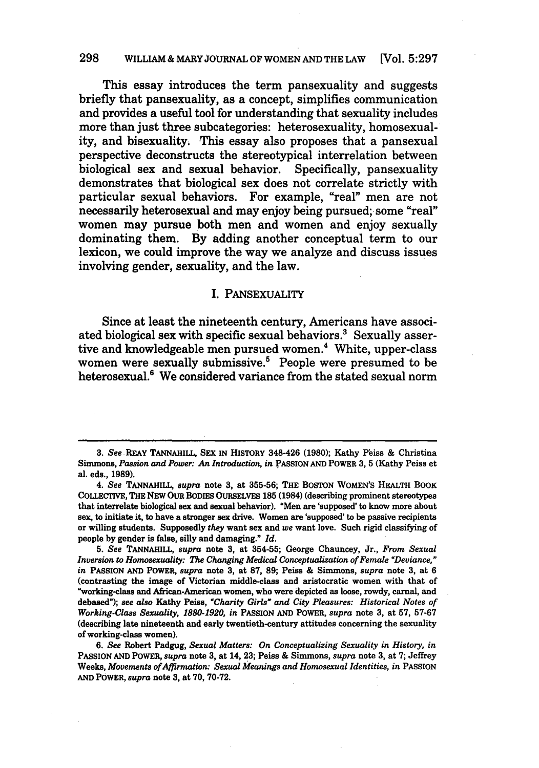#### **298** WILLIAM **&** MARY **JOURNAL** OF WOMEN **AND** THE LAW [Vol. **5:297**

This essay introduces the term pansexuality and suggests briefly that pansexuality, as a concept, simplifies communication and provides a useful tool for understanding that sexuality includes more than just three subcategories: heterosexuality, homosexuality, and bisexuality. This essay also proposes that a pansexual perspective deconstructs the stereotypical interrelation between biological sex and sexual behavior. Specifically, pansexuality demonstrates that biological sex does not correlate strictly with particular sexual behaviors. For example, "real" men are not necessarily heterosexual and may enjoy being pursued; some "real" women may pursue both men and women and enjoy sexually dominating them. **By** adding another conceptual term to our lexicon, we could improve the way we analyze and discuss issues involving gender, sexuality, and the law.

#### I. PANSEXUALITY

Since at least the nineteenth century, Americans have associated biological sex with specific sexual behaviors.<sup>3</sup> Sexually assertive and knowledgeable men pursued women.<sup>4</sup> White, upper-class women were sexually submissive.<sup>5</sup> People were presumed to be heterosexual.<sup>6</sup> We considered variance from the stated sexual norm

<sup>3.</sup> See REAY TANNAHILL, SEX IN HISTORY 348-426 (1980); Kathy Peiss & Christina Simmons, *Passion and Power: An Introduction, in* **PASSION AND POWER 3, 5** (Kathy Peiss et al. eds., **1989).**

<sup>4.</sup> *See* **TANNAHILL,** *supra* note **3,** at **355-56;** THE **BOSTON** WOMEN'S HEALTH BOOK COLLECTIVE, THE NEW OUR BODIES **OURSELVES 185** (1984) (describing prominent stereotypes that interrelate biological sex and sexual behavior). "Men are 'supposed' to know more about sex, to initiate it, to have a stronger sex drive. Women are 'supposed' to be passive recipients or willing students. Supposedly *they* want sex and *we* want love. Such rigid classifying of people **by** gender is false, silly and damaging." *Id.*

*<sup>5.</sup> See* **TANNAHILL,** *supra* note **3,** at **354-55;** George Chauncey, Jr., *From Sexual Inversion to Homosexuality: The Changing Medical Conceptualization of Female 'Deviance," in* **PASSION AND POWER,** *supra* note **3,** at **87, 89;** Peiss **&** Simmons, *supra* note **3,** at **6** (contrasting the image of Victorian middle-class and aristocratic women with that of "working-class and African-American women, who were depicted as loose, rowdy, carnal, and debased"); *see also* Kathy Peiss, *"Charity Girls" and City Pleasures: Historical Notes of Working-Class Sexuality, 1880-1920, in* PASSION **AND POWER,** *supra* note **3,** at **57, 57-67** (describing late nineteenth and early twentieth-century attitudes concerning the sexuality of working-class women).

*<sup>6.</sup> See* Robert Padgug, *Sexual Matters: On Conceptualizing Sexuality in History, in* **PASSION AND** POWER, *supra* note **3,** at 14, **23;** Peiss **&** Simmons, *supra* note **3,** at **7;** Jeffrey Weeks, *Movements of Affirmation: Sexual Meanings and Homosexual Identities, in PASSION* **AND** POWER, *supra* note **3,** at **70, 70-72.**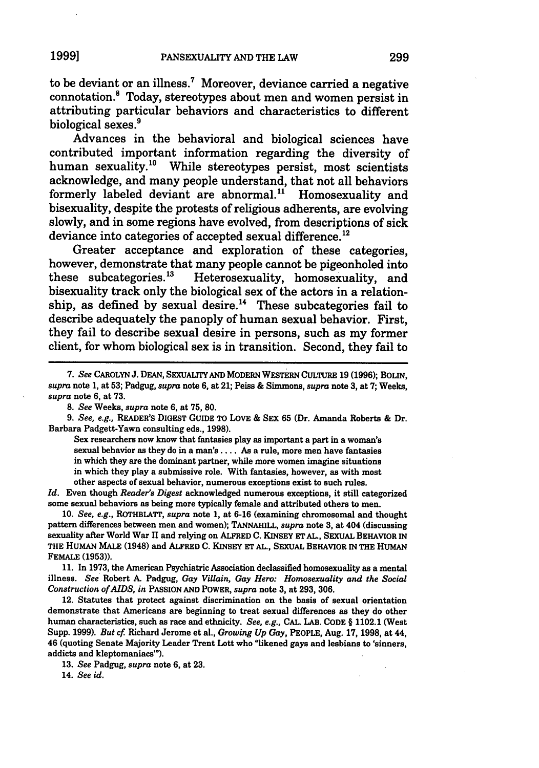to be deviant or an illness.7 Moreover, deviance carried a negative connotation.8 Today, stereotypes about men and women persist in attributing particular behaviors and characteristics to different biological sexes.<sup>9</sup>

Advances in the behavioral and biological sciences have contributed important information regarding the diversity of human sexuality.<sup>10</sup> While stereotypes persist, most scientists acknowledge, and many people understand, that not all behaviors formerly labeled deviant are abnormal." Homosexuality and bisexuality, despite the protests of religious adherents, are evolving slowly, and in some regions have evolved, from descriptions of sick deviance into categories of accepted sexual difference.<sup>12</sup>

Greater acceptance and exploration of these categories, however, demonstrate that many people cannot be pigeonholed into these subcategories.13 Heterosexuality, homosexuality, and bisexuality track only the biological sex of the actors in a relationship, as defined by sexual desire.<sup>14</sup> These subcategories fail to describe adequately the panoply of human sexual behavior. First, they fail to describe sexual desire in persons, such as my former client, for whom biological sex is in transition. Second, they fail to

*8. See* Weeks, *supra* note **6,** at 75, 80.

*9. See, e.g.,* READER'S DIGEST GUIDE TO LOVE & SEX **65** (Dr. Amanda Roberts & Dr. Barbara Padgett-Yawn consulting eds., **1998).**

Sex researchers now know that fantasies play as important a part in a woman's sexual behavior as they do in a man's .... As a rule, more men have fantasies in which they are the dominant partner, while more women imagine situations in which they play a submissive role. With fantasies, however, as with most other aspects of sexual behavior, numerous exceptions exist to such rules.

*Id.* Even though *Reader's Digest* acknowledged numerous exceptions, it still categorized some sexual behaviors as being more typically female and attributed others to men.

10. *See, e.g.,* ROTHBLATr, *supra* note 1, at **6-16** (examining chromosomal and thought pattern differences between men and women); **TANNAHILL,** *supra* note **3,** at 404 (discussing sexuality after World War II and relying on ALFRED **C.** KINSEY ET AL., SEXUAL BEHAVIOR IN **THE** HUMAN MALE (1948) and ALFRED **C.** KINSEY ET **AL.,** SEXUAL BEHAVIOR IN THE HUMAN FEMALE **(1953)).**

11. In **1973,** the American Psychiatric Association declassified homosexuality as a mental illness. *See* Robert A. Padgug, *Gay Villain, Gay Hero: Homosexuality and the Social Construction of AIDS, in* PASSION AND POWER, *supra* note **3,** at **293, 306.**

12. Statutes that protect against discrimination on the basis of sexual orientation demonstrate that Americans are beginning to treat sexual differences as they do other human characteristics, such as race and ethnicity. *See, e.g.,* CAL. LAB. **CODE** § 1102.1 (West Supp. **1999).** *But cf* Richard Jerome et al., *Growing Up Gay,* PEOPLE, Aug. 17, **1998,** at 44, 46 (quoting Senate Majority Leader Trent Lott who "likened gays and lesbians to 'sinners, addicts and kleptomaniacs'").

**13.** *See* Padgug, *supra* note **6,** at **23.**

14. *See id.*

**<sup>7.</sup>** *See* CAROLYN **J.** DEAN, SEXUALITY AND MODERN WESTERN CULTURE 19 **(1996);** BOLIN, *supra* note 1, at **53;** Padgug, *supra* note **6,** at 21; Peiss & Simmons, *supra* note **3,** at 7; Weeks, *supra* note **6,** at 73.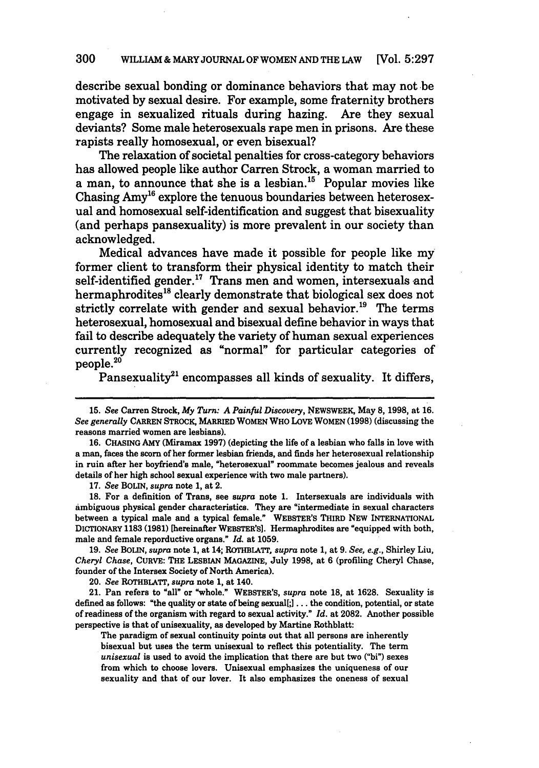#### **300** WILLIAM& MARYJOURNAL OF WOMEN **AND** THE LAW [Vol. **5:297**

describe sexual bonding or dominance behaviors that may not be motivated **by** sexual desire. For example, some fraternity brothers engage in sexualized rituals during hazing. Are they sexual deviants? Some male heterosexuals rape men in prisons. Are these rapists really homosexual, or even bisexual?

The relaxation of societal penalties for cross-category behaviors has allowed people like author Carren Strock, a woman married to a man, to announce that she is a lesbian.<sup>15</sup> Popular movies like Chasing Amy<sup>16</sup> explore the tenuous boundaries between heterosexual and homosexual self-identification and suggest that bisexuality (and perhaps pansexuality) is more prevalent in our society than acknowledged.

Medical advances have made it possible for people like my former client to transform their physical identity to match their self-identified gender.<sup>17</sup> Trans men and women, intersexuals and hermaphrodites<sup>18</sup> clearly demonstrate that biological sex does not strictly correlate with gender and sexual behavior.<sup>19</sup> The terms heterosexual, homosexual and bisexual define behavior in ways that fail to describe adequately the variety of human sexual experiences currently recognized as "normal" for particular categories of people.20

Pansexuality<sup>21</sup> encompasses all kinds of sexuality. It differs,

17. *See* BOLIN, *supra* note 1, at 2.

18. For a definition of Trans, see *supra* note 1. Intersexuals are individuals with ambiguous physical gender characteristics. They are "intermediate in sexual characters between a typical male and a typical female." WEBSTER'S THIRD NEW INTERNATIONAL DICTIONARY **1183 (1981)** [hereinafter WEBSTER'S]. Hermaphrodites are "equipped with both, male and female reporductive organs." *Id.* at 1059.

19. *See* BOLIN, *supra* note 1, at 14; ROTHBIATT, *supra* note 1, at 9. *See, e.g.,* Shirley Liu, *Cheryl Chase,* CURVE: THE LESBIAN MAGAZINE, July 1998, at 6 (profiling Cheryl Chase, founder of the Intersex Society of North America).

20. *See* ROTHBLATT, *supra* note **1,** at 140.

21. Pan refers to "all" or "whole." WEBSTER'S, *supra* note **18,** at **1628.** Sexuality is defined as follows: "the quality or state of being sexual[;] **...** the condition, potential, or state of readiness of the organism with regard to sexual activity." *Id.* at **2082.** Another possible perspective is that of unisexuality, as developed **by** Martine Rothblatt:

The paradigm of sexual continuity points out that all persons are inherently bisexual but uses the term unisexual to reflect this potentiality. The term *unisexual* is used to avoid the implication that there **are** but two ("bi") sexes from which to choose lovers. Unisexual emphasizes the uniqueness of our sexuality and that of our lover. It also emphasizes the oneness of sexual

<sup>15.</sup> See Carren Strock, *My Turn: A Painful Discovery,* NEWSWEEK, May 8, 1998, at **16.** *See generally* CARREN STROCK, MARRIED WOMEN WHO LOVE WOMEN (1998) (discussing the reasons married women are lesbians).

<sup>16.</sup> CHASING AMY (Miramax 1997) (depicting the life of a lesbian who falls in love with a man, faces the scorn of her former lesbian friends, and finds her heterosexual relationship in ruin after her boyfriend's male, "heterosexual" roommate becomes jealous and reveals details of her high school sexual experience with two male partners).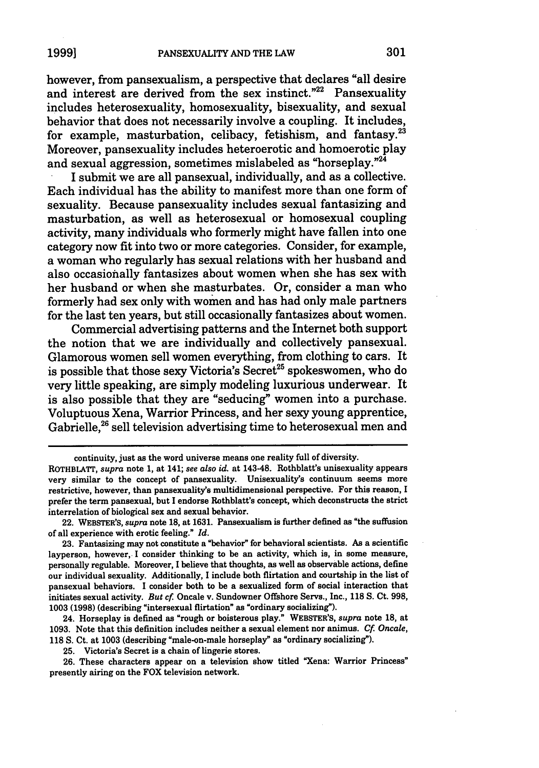however, from pansexualism, a perspective that declares "all desire and interest are derived from the sex instinct."<sup>22</sup> Pansexuality includes heterosexuality, homosexuality, bisexuality, and sexual behavior that does not necessarily involve a coupling. It includes, for example, masturbation, celibacy, fetishism, and fantasy.<sup>23</sup> Moreover, pansexuality includes heteroerotic and homoerotic play and sexual aggression, sometimes mislabeled as "horseplay."<sup>24</sup>

I submit we are all pansexual, individually, and as a collective. Each individual has the ability to manifest more than one form of sexuality. Because pansexuality includes sexual fantasizing and masturbation, as well as heterosexual or homosexual coupling activity, many individuals who formerly might have fallen into one category now fit into two or more categories. Consider, for example, a woman who regularly has sexual relations with her husband and also occasionally fantasizes about women when she has sex with her husband or when she masturbates. Or, consider a man who formerly had sex only with women and has had only male partners for the last ten years, but still occasionally fantasizes about women.

Commercial advertising patterns and the Internet both support the notion that we are individually and collectively pansexual. Glamorous women sell women everything, from clothing to cars. It is possible that those sexy Victoria's Secret<sup>25</sup> spokeswomen, who do very little speaking, are simply modeling luxurious underwear. It is also possible that they are "seducing" women into a purchase. Voluptuous Xena, Warrior Princess, and her sexy young apprentice, Gabrielle.<sup>26</sup> sell television advertising time to heterosexual men and

24. Horseplay is defined as "rough or boisterous play." WEBSTER'S, *supra* note **18,** at **1093.** Note that this definition includes neither a sexual element nor animus. *Cf Oncale,* **118 S.** Ct. at **1003** (describing "male-on-male horseplay" as "ordinary socializing").

**25.** Victoria's Secret is a **chain** of lingerie stores.

**26.** These characters appear on a television show titled "Xena: Warrior Princess" presently airing on the FOX television network.

continuity, just as the word universe means one reality full of diversity.

ROTHBLATT, *supra* note **1,** at 141; *see also id.* at 143-48. Rothblatt's unisexuality appears very similar to the concept of pansexuality. Unisexuality's continuum seems more restrictive, however, than pansexuality's multidimensional perspective. For this reason, **I** prefer the term pansexual, but I endorse Rothblatt's concept, which deconstructs the strict interrelation of biological sex and sexual behavior.

<sup>22.</sup> WEBSTER'S, *supra* note **18,** at **1631.** Pansexualism is further defined as "the suffusion of all experience with erotic feeling." *Id.*

**<sup>23.</sup>** Fantasizing may not constitute a "behavior" for behavioral scientists. **As** a scientific layperson, however, I consider thinking to be an activity, which is, in some measure, personally regulable. Moreover, I believe that thoughts, as well as observable actions, define our individual sexuality. Additionally, I include both flirtation and courtship in the list of pansexual behaviors. **I** consider beth to be a sexualized form of social interaction that initiates sexual activity. *But cf* Oncale v. Sundowner Offshore Servs., Inc., **118 S.** Ct. **998, 1003 (1998)** (describing "intersexual flirtation" as "ordinary socializing").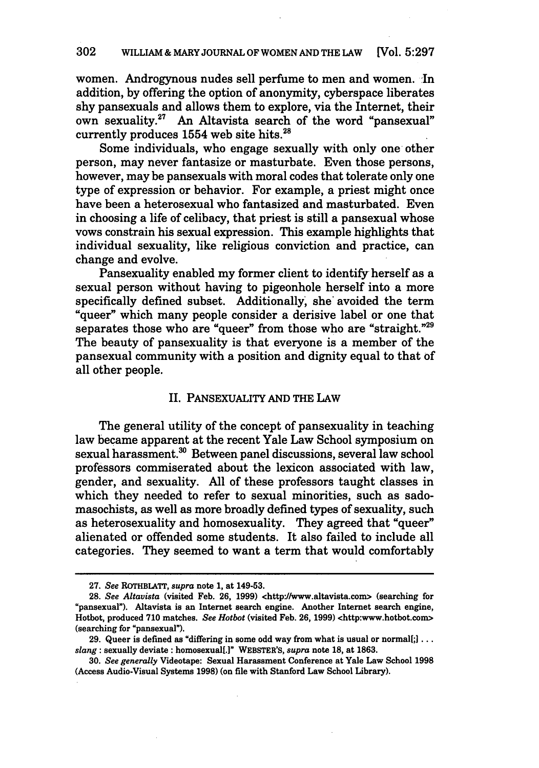women. Androgynous nudes sell perfume to men and women. **In** addition, **by** offering the option of anonymity, cyberspace liberates shy pansexuals and allows them to explore, via the Internet, their own sexuality.<sup>27</sup> An Altavista search of the word "pansexual" currently produces  $1554$  web site hits.<sup>28</sup>

Some individuals, who engage sexually with only one other person, may never fantasize or masturbate. Even those persons, however, may be pansexuals with moral codes that tolerate only one type of expression or behavior. For example, a priest might once have been a heterosexual who fantasized and masturbated. Even in choosing a life of celibacy, that priest is still a pansexual whose vows constrain his sexual expression. This example highlights that individual sexuality, like religious conviction and practice, can change and evolve.

Pansexuality enabled my former client to identify herself as a sexual person without having to pigeonhole herself into a more specifically defined subset. Additionally, she avoided the term "queer" which many people consider a derisive label or one that separates those who are "queer" from those who are "straight."<sup>29</sup> The beauty of pansexuality is that everyone is a member of the pansexual community with a position and dignity equal to that of all other people.

#### II. PANSEXUALITY **AND THE LAW**

The general utility of the concept of pansexuality in teaching law became apparent at the recent Yale Law School symposium on sexual harassment.<sup>30</sup> Between panel discussions, several law school professors commiserated about the lexicon associated with law, gender, and sexuality. **All** of these professors taught classes in which they needed to refer to sexual minorities, such as sadomasochists, as well as more broadly defined types of sexuality, such as heterosexuality and homosexuality. They agreed that "queer" alienated or offended some students. It also failed to include all categories. They seemed to want a term that would comfortably

**<sup>27.</sup>** *See* **ROTHBLATT,** *supra* note **1,** at 149-53.

**<sup>28.</sup>** *See Altavista* (visited Feb. **26, 1999)** <http://www.altavista.com> (searching for 'pansexual"). Altavista is an Internet search engine. Another Internet search engine, Hotbot, produced **710** matches. *See Hotbot* (visited Feb. **26, 1999)** <http:www.hotbot.com> (searching for "pansexual").

**<sup>29.</sup>** Queer is defined as "differing in some odd way from what is usual or normal[;j **...** *slang:* sexually deviate: homosexual[.1" **WEBSTER'S,** *supra* note **18,** at **1863.**

**<sup>30.</sup>** *See generally* Videotape: Sexual Harassment Conference at Yale Law School **1998** (Access Audio-Visual Systems **1998)** (on file with Stanford Law School Library).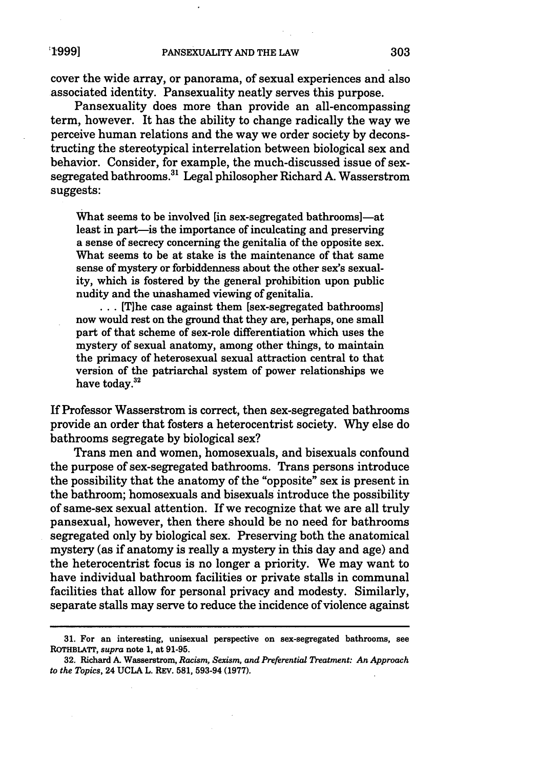cover the wide array, or panorama, of sexual experiences and also associated identity. Pansexuality neatly serves this purpose.

Pansexuality does more than provide an all-encompassing term, however. It has the ability to change radically the way we perceive human relations and the way we order society by deconstructing the stereotypical interrelation between biological sex and behavior. Consider, for example, the much-discussed issue of sexsegregated bathrooms.<sup>31</sup> Legal philosopher Richard A. Wasserstrom suggests:

What seems to be involved [in sex-segregated bathrooms]—at least in part—is the importance of inculcating and preserving a sense of secrecy concerning the genitalia of the opposite sex. What seems to be at stake is the maintenance of that same sense of mystery or forbiddenness about the other sex's sexuality, which is fostered by the general prohibition upon public nudity and the unashamed viewing of genitalia.

... **The case against them [sex-segregated bathrooms]** now would rest on the ground that they are, perhaps, one small part of that scheme of sex-role differentiation which uses the mystery of sexual anatomy, among other things, to maintain the primacy of heterosexual sexual attraction central to that version of the patriarchal system of power relationships we have today.<sup>32</sup>

If Professor Wasserstrom is correct, then sex-segregated bathrooms provide an order that fosters a heterocentrist society. Why else do bathrooms segregate by biological sex?

Trans men and women, homosexuals, and bisexuals confound the purpose of sex-segregated bathrooms. Trans persons introduce the possibility that the anatomy of the "opposite" sex is present in the bathroom; homosexuals and bisexuals introduce the possibility of same-sex sexual attention. If we recognize that we are all truly pansexual, however, then there should be no need for bathrooms segregated only by biological sex. Preserving both the anatomical mystery (as if anatomy is really a mystery in this day and age) and the heterocentrist focus is no longer a priority. We may want to have individual bathroom facilities or private stalls in communal facilities that allow for personal privacy and modesty. Similarly, separate stalls may serve to reduce the incidence of violence against

**<sup>31.</sup>** For an interesting, unisexual perspective on sex-segregated bathrooms, see ROTHBLATT, *supra* note **1,** at **91-95.**

**<sup>32.</sup>** Richard **A.** Wasserstrom, *Racism, Sexism, and Preferential Treatment: An Approach to the Topics,* 24 **UCLA** L. REV. **581, 593-94 (1977).**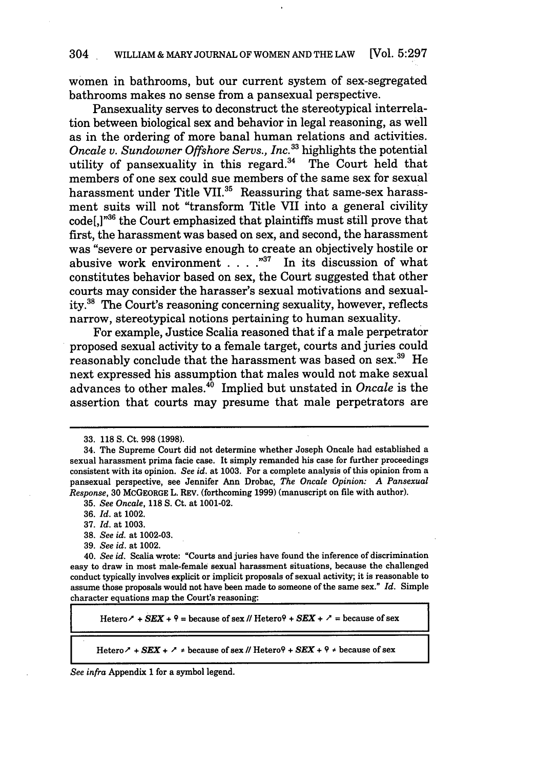women in bathrooms, but our current system of sex-segregated bathrooms makes no sense from a pansexual perspective.

Pansexuality serves to deconstruct the stereotypical interrelation between biological sex and behavior in legal reasoning, as well as in the ordering of more banal human relations and activities. *Oncale v. Sundowner Offshore Servs., Inc.33* highlights the potential utility of pansexuality in this regard. $34$  The Court held that members of one sex could sue members of the same sex for sexual harassment under Title VII.<sup>35</sup> Reassuring that same-sex harassment suits will not "transform Title VII into a general civility code[,] "36 the Court emphasized that plaintiffs must still prove that first, the harassment was based on sex, and second, the harassment was "severe or pervasive enough to create an objectively hostile or abusive work environment . **.** . **.""** In its discussion of what constitutes behavior based on sex, the Court suggested that other courts may consider the harasser's sexual motivations and sexuality.<sup>38</sup> The Court's reasoning concerning sexuality, however, reflects narrow, stereotypical notions pertaining to human sexuality.

For example, Justice Scalia reasoned that if a male perpetrator proposed sexual activity to a female target, courts and juries could reasonably conclude that the harassment was based on sex.<sup>39</sup> He next expressed his assumption that males would not make sexual advances to other males.<sup>40</sup> Implied but unstated in *Oncale* is the assertion that courts may presume that male perpetrators are

39. *See id.* at 1002.

Hetero  $\lambda$  + **SEX** +  $9$  = because of sex  $\mu$  Hetero $9$  + **SEX** +  $\lambda$  = because of sex

Hetero  $\lambda$  + *SEX* +  $\lambda$   $*$  because of sex // Hetero $\theta$  + *SEX* +  $\theta$   $*$  because of sex

*See infra* Appendix **1** for a symbol legend.

<sup>33. 118</sup> S. Ct. **998** (1998).

<sup>34.</sup> The Supreme Court did not determine whether Joseph Oncale had established a sexual harassment prima facie case. It simply remanded his case for further proceedings consistent with its opinion. *See id.* at 1003. For a complete analysis of this opinion from a pansexual perspective, see Jennifer Ann Drobac, *The Oncale Opinion: A Pansexual Response,* 30 MCGEORGE L. REV. (forthcoming 1999) (manuscript on file with author).

<sup>35.</sup> *See Oncale,* **118 S.** Ct. at 1001-02.

<sup>36.</sup> *Id.* at 1002.

<sup>37.</sup> *Id.* at 1003.

<sup>38.</sup> *See id.* at 1002-03.

<sup>40.</sup> *See id.* Scalia wrote: "Courts and juries have found the inference of discrimination easy to draw in most male-female sexual harassment situations, because the challenged conduct typically involves explicit or implicit proposals of sexual activity; it is reasonable to assume those proposals would not have been made to someone of the same sex." *Id.* Simple character equations map the Court's reasoning: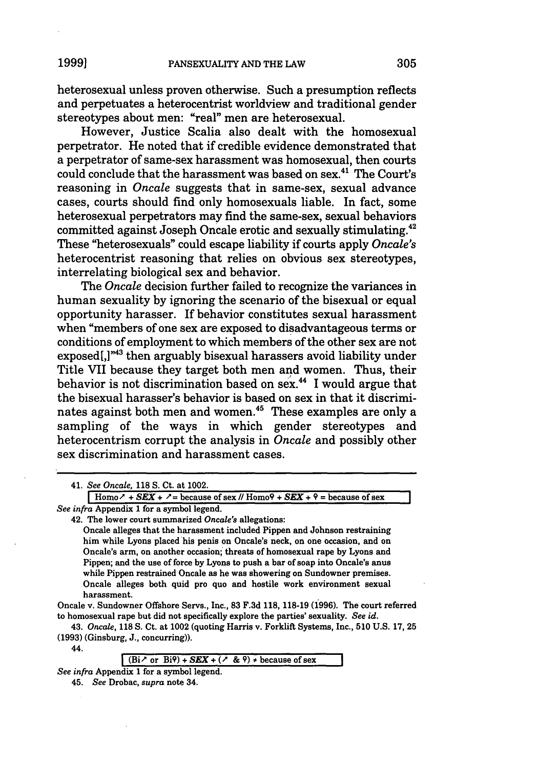heterosexual unless proven otherwise. Such a presumption reflects and perpetuates a heterocentrist worldview and traditional gender stereotypes about men: "real" men are heterosexual.

However, Justice Scalia also dealt with the homosexual perpetrator. He noted that if credible evidence demonstrated that a perpetrator of same-sex harassment was homosexual, then courts could conclude that the harassment was based on sex.<sup>41</sup> The Court's reasoning in *Oncale* suggests that in same-sex, sexual advance cases, courts should find only homosexuals liable. In fact, some heterosexual perpetrators may find the same-sex, sexual behaviors committed against Joseph Oncale erotic and sexually stimulating.42 These "heterosexuals" could escape liability if courts apply *Oncale's* heterocentrist reasoning that relies on obvious sex stereotypes, interrelating biological sex and behavior.

The *Oncale* decision further failed to recognize the variances in human sexuality by ignoring the scenario of the bisexual or equal opportunity harasser. If behavior constitutes sexual harassment when "members of one sex are exposed to disadvantageous terms or conditions of employment to which members of the other sex are not exposed[,]"43 then arguably bisexual harassers avoid liability under Title VII because they target both men and women. Thus, their behavior is not discrimination based on sex.44 I would argue that the bisexual harasser's behavior is based on sex in that it discriminates against both men and women.<sup>45</sup> These examples are only a sampling of the ways in which gender stereotypes and heterocentrism corrupt the analysis in *Oncale* and possibly other sex discrimination and harassment cases.

|  |  | 41. See Oncale, 118 S. Ct. at 1002. |  |  |  |  |  |
|--|--|-------------------------------------|--|--|--|--|--|
|--|--|-------------------------------------|--|--|--|--|--|

 $r + 5EX + 7 = \text{because of } \text{sex } \text{/}\text{/}\text{/}\text{Hom}_9\text{+} \text{/}\text{sex } \text{+} 9 = \text{because of } \text{sex } \text{+} 1$ *See infra* Appendix **1** for a symbol legend.

42. The lower court summarized *Oncale's* allegations:

Oncale alleges that the harassment included Pippen and Johnson restraining him while Lyons placed his penis on Oncale's neck, on one occasion, and on Oncale's arm, on another occasion; threats of homosexual rape **by** Lyons and Pippen; and the use of force **by** Lyons to push a bar of soap into Oncale's anus while Pippen restrained Oncale as he was showering on Sundowner premises. Oncale alleges both quid pro quo and hostile work environment sexual harassment.

Oncale v. Sundowner Offshore Servs., Inc., **83 F.3d 118, 118-19** (1996). The court referred to homosexual rape but did not specifically explore the parties' sexuality. *See id.*

43. *Oncale,* **118 S.** Ct. at 1002 (quoting Harris v. Forklift Systems, Inc., **510 U.S. 17,** 25 **(1993)** (Ginsburg, **J.,** concurring)).

44.

*See infra* Appendix **1** for a symbol legend.

 $(Bi \nightharpoonup or Bi^{\circ})$  +  $SEX + (\nightharpoonup \& \varepsilon)$   $\neq$  because of sex

<sup>45.</sup> *See* Drobac, *supra* note 34.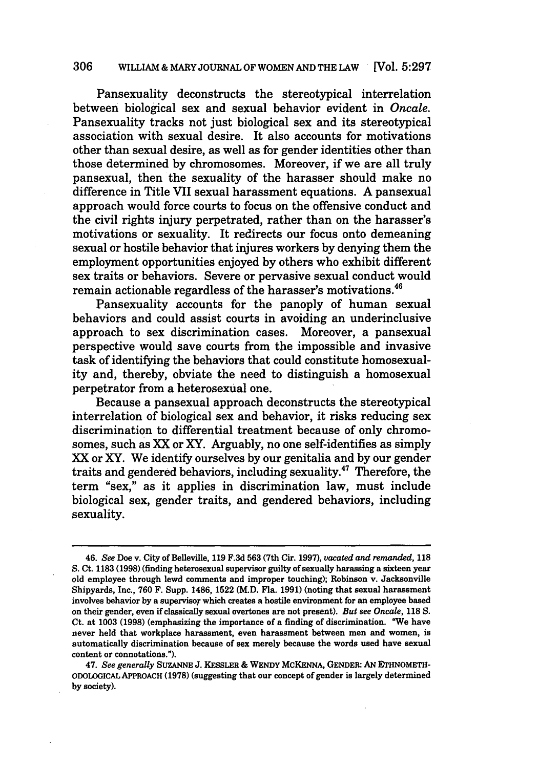#### **306** WILLIAM **&** MARYJOURNAL OF WOMEN **AND** THE LAW [Vol. **5:297**

Pansexuality deconstructs the stereotypical interrelation between biological sex and sexual behavior evident in *Oncale.* Pansexuality tracks not just biological sex and its stereotypical association with sexual desire. It also accounts for motivations other than sexual desire, as well as for gender identities other than those determined **by** chromosomes. Moreover, if we are all truly pansexual, then the sexuality of the harasser should make no difference in Title VII sexual harassment equations. **A** pansexual approach would force courts to focus on the offensive conduct and the civil rights injury perpetrated, rather than on the harasser's motivations or sexuality. It redirects our focus onto demeaning sexual or hostile behavior that injures workers **by** denying them the employment opportunities enjoyed **by** others who exhibit different sex traits or behaviors. Severe or pervasive sexual conduct would remain actionable regardless of the harasser's motivations.<sup>46</sup>

Pansexuality accounts for the panoply of human sexual behaviors and could assist courts in avoiding an underinclusive approach to sex discrimination cases. Moreover, a pansexual perspective would save courts from the impossible and invasive task of identifying the behaviors that could constitute homosexuality and, thereby, obviate the need to distinguish a homosexual perpetrator from a heterosexual one.

Because a pansexual approach deconstructs the stereotypical interrelation of biological sex and behavior, it risks reducing sex discrimination to differential treatment because of only chromosomes, such as XX or XY. Arguably, no one self-identifies as simply XX or XY. We identify ourselves **by** our genitalia and **by** our gender traits and gendered behaviors, including sexuality.<sup>47</sup> Therefore, the term "sex," as it applies in discrimination law, must include biological sex, gender traits, and gendered behaviors, including sexuality.

<sup>46.</sup> *See* Doe v. City of Belleville, **119 F.3d 563** (7th Cir. **1997),** *vacated and remanded,* **118 S.** Ct. **1183 (1998)** (finding heterosexual supervisor guilty of sexually harassing a sixteen year old employee through lewd comments and improper touching); Robinson v. Jacksonville Shipyards, Inc., **760** F. Supp. 1486, **1522** (M.D. Fla. **1991)** (noting that sexual harassment involves behavior **by** a supervisor which creates a hostile environment for an employee based on their gender, even if classically sexual overtones are not present). *But see Oncale,* **118 S.** Ct. at **1003 (1998)** (emphasizing the importance of a finding of discrimination. "We have never held that workplace harassment, even harassment between men and women, is automatically discrimination because of sex merely because the words used have sexual content or connotations.").

<sup>47.</sup> *See generally* **SUZANNE J. KESSLER &** WENDY McKENNA, **GENDER: AN** ETHNOMETH-**ODOLODGICAL APPROACH (1978)** (suggesting that our concept of gender is largely determined **by** society).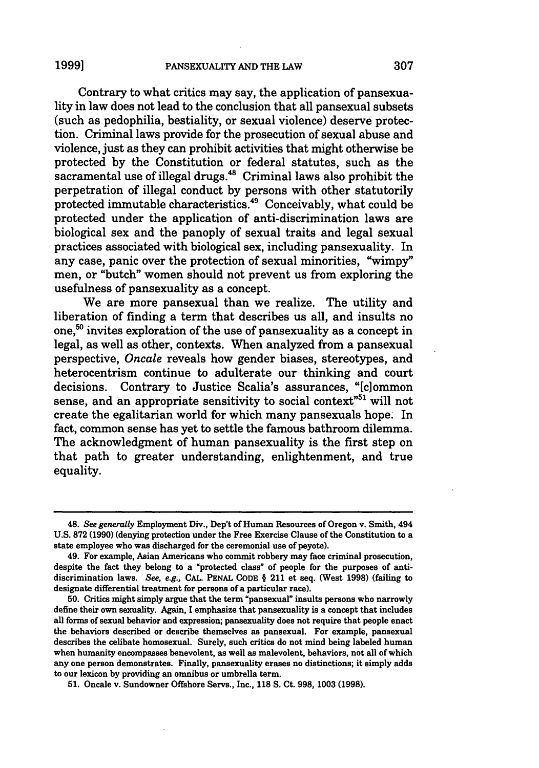Contrary to what critics may say, the application of pansexuality in law does not lead to the conclusion that all pansexual subsets (such as pedophilia, bestiality, or sexual violence) deserve protection. Criminal laws provide for the prosecution of sexual abuse and violence, just as they can prohibit activities that might otherwise be protected **by** the Constitution or federal statutes, such as the sacramental use of illegal drugs.<sup>48</sup> Criminal laws also prohibit the perpetration of illegal conduct **by** persons with other statutorily protected immutable characteristics. 49 Conceivably, what could be protected under the application of anti-discrimination laws are biological sex and the panoply of sexual traits and legal sexual practices associated with biological sex, including pansexuality. In any case, panic over the protection of sexual minorities, "wimpy" men, or "butch" women should not prevent us from exploring the usefulness of pansexuality as a concept.

We are more pansexual than we realize. The utility and liberation of finding a term that describes us all, and insults no one,<sup>50</sup> invites exploration of the use of pansexuality as a concept in legal, as well as other, contexts. When analyzed from a pansexual perspective, *Oncale* reveals how gender biases, stereotypes, and heterocentrism continue to adulterate our thinking and court decisions. Contrary to Justice Scalia's assurances, "[clommon sense, and an appropriate sensitivity to social context<sup>751</sup> will not create the egalitarian world for which many pansexuals hope. In fact, common sense has yet to settle the famous bathroom dilemma. The acknowledgment of human pansexuality is the first step on that path to greater understanding, enlightenment, and true equality.

<sup>48.</sup> See generally Employment Div., Dep't of Human Resources of Oregon v. Smith, 494 **U.S. 872 (1990)** (denying protection under the Free Exercise Clause of the Constitution to a state employee who was discharged for the ceremonial use of peyote).

<sup>49.</sup> For example, Asian Americans who commit robbery may face criminal prosecution, despite the fact they belong to a "protected class" of people for the purposes of antidiscrimination laws. See, e.g., **CAL. PENAL CODE** § 211 et seq. (West **1998)** (failing to designate differential treatment for persons of a particular race).

**<sup>50.</sup>** Critics might simply argue that the term "pansexual" insults persons who narrowly define their own sexuality. Again, **I** emphasize that pansexuality is a concept that includes all forms of sexual behavior and expression; pansexuality does not require that people enact the behaviors described or describe themselves as pansexual. For example, pansexual describes the celibate homosexual. Surely, such critics do not mind being labeled human when humanity encompasses benevolent, as well as malevolent, behaviors, not all of which any one person demonstrates. Finally, pansexuality erases no distinctions; it simply adds to our lexicon **by** providing an omnibus or umbrella term.

**<sup>51.</sup>** Oncale v. Sundowner Offshore Servs., Inc., **118 S.** Ct. **998, 1003 (1998).**